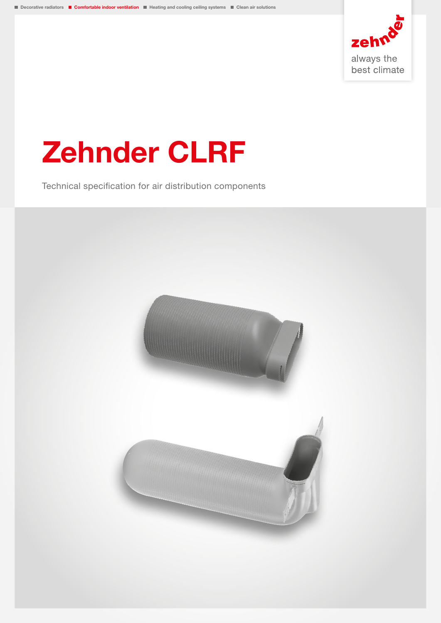

# Zehnder CLRF

Technical specification for air distribution components

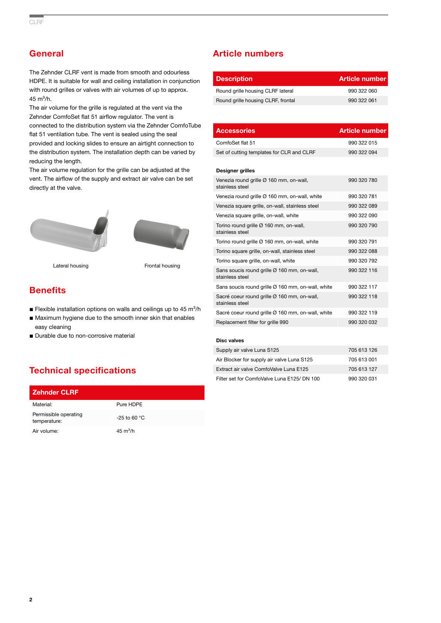# **General**

The Zehnder CLRF vent is made from smooth and odourless HDPE. It is suitable for wall and ceiling installation in conjunction with round grilles or valves with air volumes of up to approx.  $45 \text{ m}^3/h$ .

The air volume for the grille is regulated at the vent via the Zehnder ComfoSet flat 51 airflow regulator. The vent is connected to the distribution system via the Zehnder ComfoTube flat 51 ventilation tube. The vent is sealed using the seal provided and locking slides to ensure an airtight connection to the distribution system. The installation depth can be varied by reducing the length.

The air volume regulation for the grille can be adjusted at the vent. The airflow of the supply and extract air valve can be set directly at the valve.





Lateral housing **Example 2** Frontal housing

# **Benefits**

- **Example installation options on walls and ceilings up to 45 m<sup>3</sup>/h**
- Maximum hygiene due to the smooth inner skin that enables easy cleaning
- Durable due to non-corrosive material

# Technical specifications

| <b>Zehnder CLRF</b>                   |                    |
|---------------------------------------|--------------------|
| Material:                             | Pure HDPF          |
| Permissible operating<br>temperature: | $-25$ to 60 °C     |
| Air volume:                           | $45 \text{ m}^3/h$ |

## Article numbers

| <b>Description</b>                 | Article number |
|------------------------------------|----------------|
| Round grille housing CLRF lateral  | 990 322 060    |
| Round grille housing CLRF, frontal | 990 322 061    |

| <b>Accessories</b>                                             | <b>Article number</b> |
|----------------------------------------------------------------|-----------------------|
| ComfoSet flat 51                                               | 990 322 015           |
| Set of cutting templates for CLR and CLRF                      | 990 322 094           |
| <b>Designer grilles</b>                                        |                       |
| Venezia round grille Ø 160 mm, on-wall,<br>stainless steel     | 990 320 780           |
| Venezia round grille Ø 160 mm, on-wall, white                  | 990 320 781           |
| Venezia square grille, on-wall, stainless steel                | 990 322 089           |
| Venezia square grille, on-wall, white                          | 990 322 090           |
| Torino round grille Ø 160 mm, on-wall,<br>stainless steel      | 990 320 790           |
| Torino round grille Ø 160 mm, on-wall, white                   | 990 320 791           |
| Torino square grille, on-wall, stainless steel                 | 990 322 088           |
| Torino square grille, on-wall, white                           | 990 320 792           |
| Sans soucis round grille Ø 160 mm, on-wall,<br>stainless steel | 990 322 116           |
| Sans soucis round grille Ø 160 mm, on-wall, white              | 990 322 117           |
| Sacré coeur round grille Ø 160 mm, on-wall,<br>stainless steel | 990 322 118           |
| Sacré coeur round grille Ø 160 mm, on-wall, white              | 990 322 119           |
| Replacement filter for grille 990                              | 990 320 032           |
| <b>Disc valves</b>                                             |                       |
| Supply air valve Luna S125                                     | 705 613 126           |
| Air Blocker for supply air valve Luna S125                     | 705 613 001           |
| Extract air valve ComfoValve Luna E125                         | 705 613 127           |
| Filter set for ComfoValve Luna E125/ DN 100                    | 990 320 031           |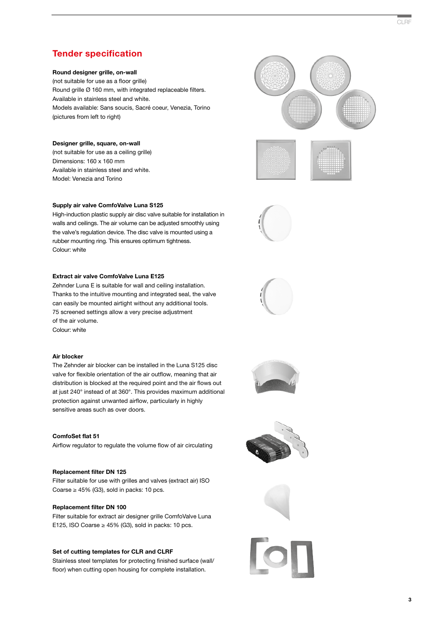# Tender specification

#### Round designer grille, on-wall

(not suitable for use as a floor grille) Round grille Ø 160 mm, with integrated replaceable filters. Available in stainless steel and white. Models available: Sans soucis, Sacré coeur, Venezia, Torino (pictures from left to right)

#### Designer grille, square, on-wall

(not suitable for use as a ceiling grille) Dimensions: 160 x 160 mm Available in stainless steel and white. Model: Venezia and Torino

#### Supply air valve ComfoValve Luna S125

High-induction plastic supply air disc valve suitable for installation in walls and ceilings. The air volume can be adjusted smoothly using the valve's regulation device. The disc valve is mounted using a rubber mounting ring. This ensures optimum tightness. Colour: white

#### Extract air valve ComfoValve Luna E125

Zehnder Luna E is suitable for wall and ceiling installation. Thanks to the intuitive mounting and integrated seal, the valve can easily be mounted airtight without any additional tools. 75 screened settings allow a very precise adjustment of the air volume. Colour: white

#### Air blocker

The Zehnder air blocker can be installed in the Luna S125 disc valve for flexible orientation of the air outflow, meaning that air distribution is blocked at the required point and the air flows out at just 240° instead of at 360°. This provides maximum additional protection against unwanted airflow, particularly in highly sensitive areas such as over doors.

#### ComfoSet flat 51 Airflow regulator to regulate the volume flow of air circulating

#### Replacement filter DN 125

Filter suitable for use with grilles and valves (extract air) ISO Coarse  $\geq$  45% (G3), sold in packs: 10 pcs.

#### Replacement filter DN 100

Filter suitable for extract air designer grille ComfoValve Luna E125, ISO Coarse  $\geq$  45% (G3), sold in packs: 10 pcs.

#### Set of cutting templates for CLR and CLRF

Stainless steel templates for protecting finished surface (wall/ floor) when cutting open housing for complete installation.













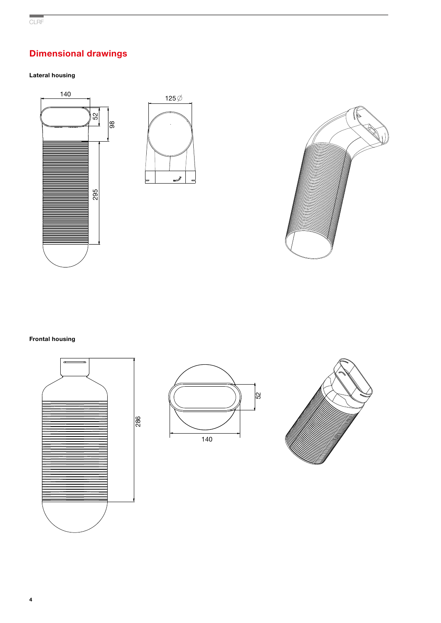# Dimensional drawings

## Lateral housing







### Frontal housing





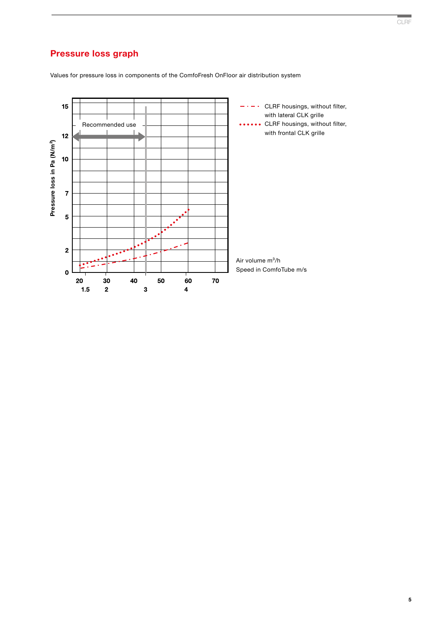# Pressure loss graph

Values for pressure loss in components of the ComfoFresh OnFloor air distribution system